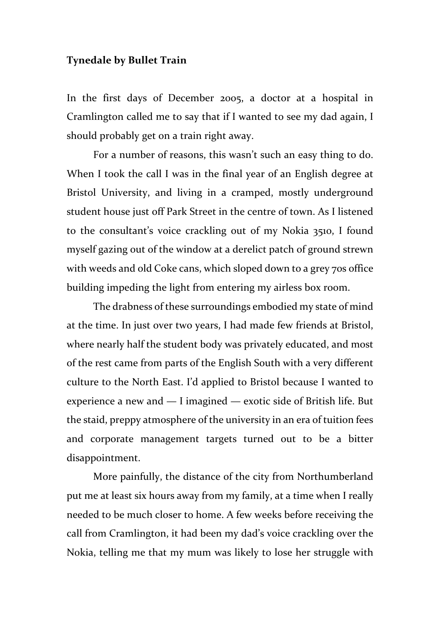## **Tynedale by Bullet Train**

In the first days of December 2005, a doctor at a hospital in Cramlington called me to say that if I wanted to see my dad again, I should probably get on a train right away.

For a number of reasons, this wasn't such an easy thing to do. When I took the call I was in the final year of an English degree at Bristol University, and living in a cramped, mostly underground student house just off Park Street in the centre of town. As I listened to the consultant's voice crackling out of my Nokia 3510, I found myself gazing out of the window at a derelict patch of ground strewn with weeds and old Coke cans, which sloped down to a grey 70s office building impeding the light from entering my airless box room.

The drabness of these surroundings embodied my state of mind at the time. In just over two years, I had made few friends at Bristol, where nearly half the student body was privately educated, and most of the rest came from parts of the English South with a very different culture to the North East. I'd applied to Bristol because I wanted to experience a new and — I imagined — exotic side of British life. But the staid, preppy atmosphere of the university in an era of tuition fees and corporate management targets turned out to be a bitter disappointment.

More painfully, the distance of the city from Northumberland put me at least six hours away from my family, at a time when I really needed to be much closer to home. A few weeks before receiving the call from Cramlington, it had been my dad's voice crackling over the Nokia, telling me that my mum was likely to lose her struggle with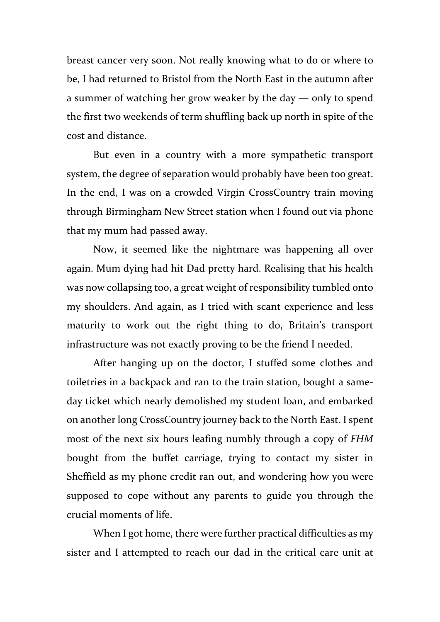breast cancer very soon. Not really knowing what to do or where to be, I had returned to Bristol from the North East in the autumn after a summer of watching her grow weaker by the day — only to spend the first two weekends of term shuffling back up north in spite of the cost and distance.

But even in a country with a more sympathetic transport system, the degree of separation would probably have been too great. In the end, I was on a crowded Virgin CrossCountry train moving through Birmingham New Street station when I found out via phone that my mum had passed away.

Now, it seemed like the nightmare was happening all over again. Mum dying had hit Dad pretty hard. Realising that his health was now collapsing too, a great weight of responsibility tumbled onto my shoulders. And again, as I tried with scant experience and less maturity to work out the right thing to do, Britain's transport infrastructure was not exactly proving to be the friend I needed.

After hanging up on the doctor, I stuffed some clothes and toiletries in a backpack and ran to the train station, bought a sameday ticket which nearly demolished my student loan, and embarked on another long CrossCountry journey back to the North East. I spent most of the next six hours leafing numbly through a copy of *FHM* bought from the buffet carriage, trying to contact my sister in Sheffield as my phone credit ran out, and wondering how you were supposed to cope without any parents to guide you through the crucial moments of life.

When I got home, there were further practical difficulties as my sister and I attempted to reach our dad in the critical care unit at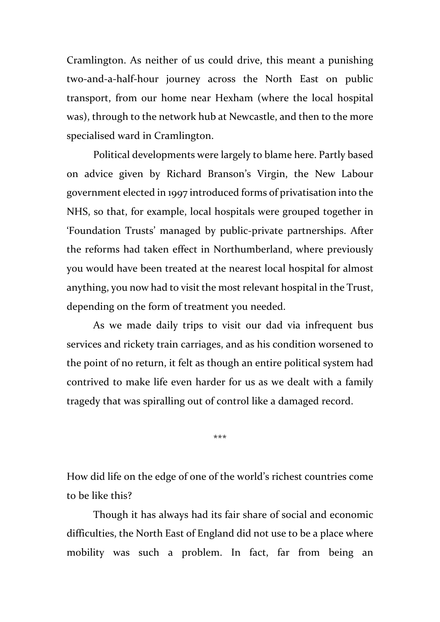Cramlington. As neither of us could drive, this meant a punishing two-and-a-half-hour journey across the North East on public transport, from our home near Hexham (where the local hospital was), through to the network hub at Newcastle, and then to the more specialised ward in Cramlington.

Political developments were largely to blame here. Partly based on advice given by Richard Branson's Virgin, the New Labour government elected in 1997 introduced forms of privatisation into the NHS, so that, for example, local hospitals were grouped together in 'Foundation Trusts' managed by public-private partnerships. After the reforms had taken effect in Northumberland, where previously you would have been treated at the nearest local hospital for almost anything, you now had to visit the most relevant hospital in the Trust, depending on the form of treatment you needed.

As we made daily trips to visit our dad via infrequent bus services and rickety train carriages, and as his condition worsened to the point of no return, it felt as though an entire political system had contrived to make life even harder for us as we dealt with a family tragedy that was spiralling out of control like a damaged record.

\*\*\*

How did life on the edge of one of the world's richest countries come to be like this?

Though it has always had its fair share of social and economic difficulties, the North East of England did not use to be a place where mobility was such a problem. In fact, far from being an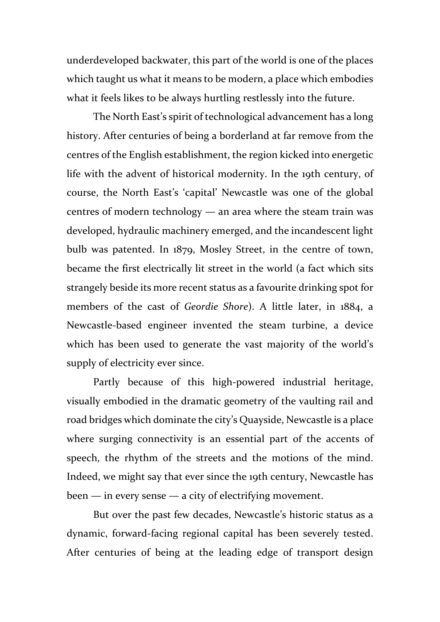underdeveloped backwater, this part of the world is one of the places which taught us what it means to be modern, a place which embodies what it feels likes to be always hurtling restlessly into the future.

The North East's spirit of technological advancement has a long history. After centuries of being a borderland at far remove from the centres of the English establishment, the region kicked into energetic life with the advent of historical modernity. In the 19th century, of course, the North East's 'capital' Newcastle was one of the global centres of modern technology — an area where the steam train was developed, hydraulic machinery emerged, and the incandescent light bulb was patented. In 1879, Mosley Street, in the centre of town, became the first electrically lit street in the world (a fact which sits strangely beside its more recent status as a favourite drinking spot for members of the cast of *Geordie Shore*). A little later, in 1884, a Newcastle-based engineer invented the steam turbine, a device which has been used to generate the vast majority of the world's supply of electricity ever since.

Partly because of this high-powered industrial heritage, visually embodied in the dramatic geometry of the vaulting rail and road bridges which dominate the city's Quayside, Newcastle is a place where surging connectivity is an essential part of the accents of speech, the rhythm of the streets and the motions of the mind. Indeed, we might say that ever since the 19th century, Newcastle has been — in every sense — a city of electrifying movement.

But over the past few decades, Newcastle's historic status as a dynamic, forward-facing regional capital has been severely tested. After centuries of being at the leading edge of transport design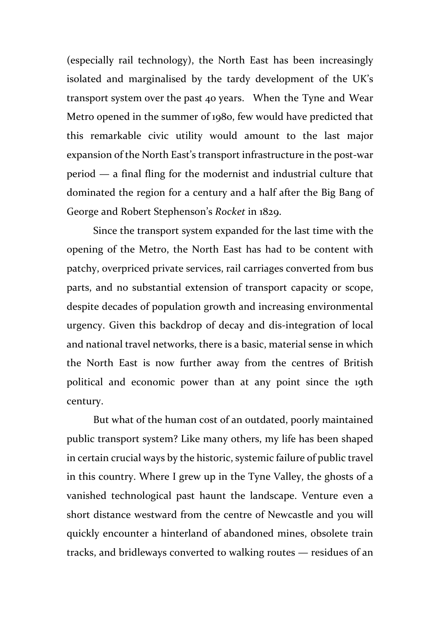(especially rail technology), the North East has been increasingly isolated and marginalised by the tardy development of the UK's transport system over the past 40 years. When the Tyne and Wear Metro opened in the summer of 1980, few would have predicted that this remarkable civic utility would amount to the last major expansion of the North East's transport infrastructure in the post-war period — a final fling for the modernist and industrial culture that dominated the region for a century and a half after the Big Bang of George and Robert Stephenson's *Rocket* in 1829.

Since the transport system expanded for the last time with the opening of the Metro, the North East has had to be content with patchy, overpriced private services, rail carriages converted from bus parts, and no substantial extension of transport capacity or scope, despite decades of population growth and increasing environmental urgency. Given this backdrop of decay and dis-integration of local and national travel networks, there is a basic, material sense in which the North East is now further away from the centres of British political and economic power than at any point since the 19th century.

But what of the human cost of an outdated, poorly maintained public transport system? Like many others, my life has been shaped in certain crucial ways by the historic, systemic failure of public travel in this country. Where I grew up in the Tyne Valley, the ghosts of a vanished technological past haunt the landscape. Venture even a short distance westward from the centre of Newcastle and you will quickly encounter a hinterland of abandoned mines, obsolete train tracks, and bridleways converted to walking routes — residues of an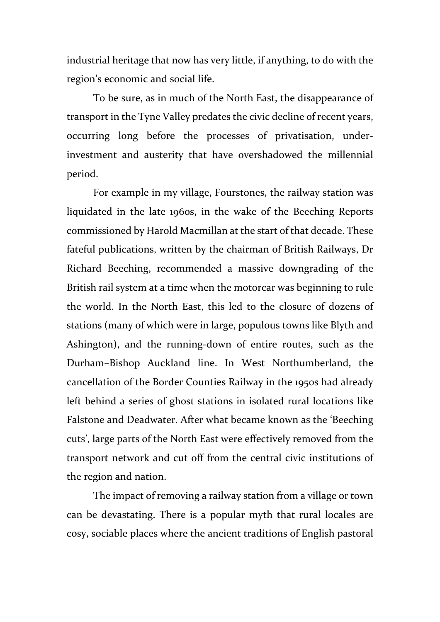industrial heritage that now has very little, if anything, to do with the region's economic and social life.

To be sure, as in much of the North East, the disappearance of transport in the Tyne Valley predates the civic decline of recent years, occurring long before the processes of privatisation, underinvestment and austerity that have overshadowed the millennial period.

For example in my village, Fourstones, the railway station was liquidated in the late 1960s, in the wake of the Beeching Reports commissioned by Harold Macmillan at the start of that decade. These fateful publications, written by the chairman of British Railways, Dr Richard Beeching, recommended a massive downgrading of the British rail system at a time when the motorcar was beginning to rule the world. In the North East, this led to the closure of dozens of stations (many of which were in large, populous towns like Blyth and Ashington), and the running-down of entire routes, such as the Durham–Bishop Auckland line. In West Northumberland, the cancellation of the Border Counties Railway in the 1950s had already left behind a series of ghost stations in isolated rural locations like Falstone and Deadwater. After what became known as the 'Beeching cuts', large parts of the North East were effectively removed from the transport network and cut off from the central civic institutions of the region and nation.

The impact of removing a railway station from a village or town can be devastating. There is a popular myth that rural locales are cosy, sociable places where the ancient traditions of English pastoral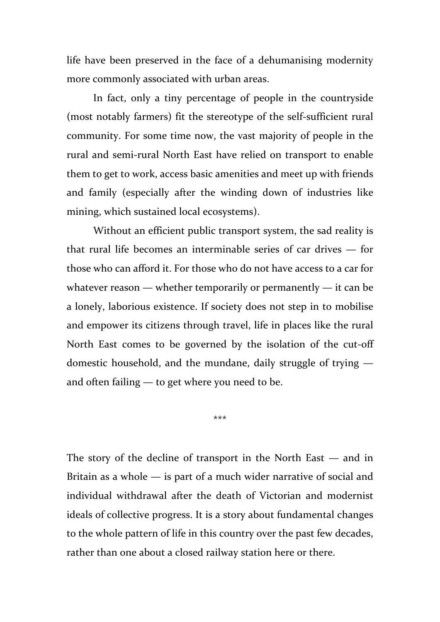life have been preserved in the face of a dehumanising modernity more commonly associated with urban areas.

In fact, only a tiny percentage of people in the countryside (most notably farmers) fit the stereotype of the self-sufficient rural community. For some time now, the vast majority of people in the rural and semi-rural North East have relied on transport to enable them to get to work, access basic amenities and meet up with friends and family (especially after the winding down of industries like mining, which sustained local ecosystems).

Without an efficient public transport system, the sad reality is that rural life becomes an interminable series of car drives — for those who can afford it. For those who do not have access to a car for whatever reason — whether temporarily or permanently — it can be a lonely, laborious existence. If society does not step in to mobilise and empower its citizens through travel, life in places like the rural North East comes to be governed by the isolation of the cut-off domestic household, and the mundane, daily struggle of trying and often failing — to get where you need to be.

\*\*\*

The story of the decline of transport in the North East — and in Britain as a whole — is part of a much wider narrative of social and individual withdrawal after the death of Victorian and modernist ideals of collective progress. It is a story about fundamental changes to the whole pattern of life in this country over the past few decades, rather than one about a closed railway station here or there.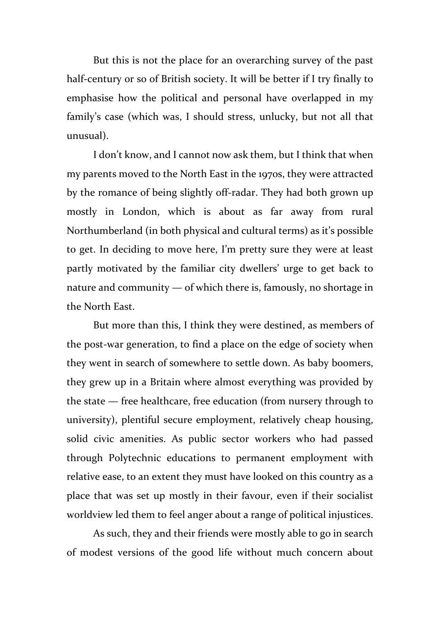But this is not the place for an overarching survey of the past half-century or so of British society. It will be better if I try finally to emphasise how the political and personal have overlapped in my family's case (which was, I should stress, unlucky, but not all that unusual).

I don't know, and I cannot now ask them, but I think that when my parents moved to the North East in the 1970s, they were attracted by the romance of being slightly off-radar. They had both grown up mostly in London, which is about as far away from rural Northumberland (in both physical and cultural terms) as it's possible to get. In deciding to move here, I'm pretty sure they were at least partly motivated by the familiar city dwellers' urge to get back to nature and community — of which there is, famously, no shortage in the North East.

But more than this, I think they were destined, as members of the post-war generation, to find a place on the edge of society when they went in search of somewhere to settle down. As baby boomers, they grew up in a Britain where almost everything was provided by the state — free healthcare, free education (from nursery through to university), plentiful secure employment, relatively cheap housing, solid civic amenities. As public sector workers who had passed through Polytechnic educations to permanent employment with relative ease, to an extent they must have looked on this country as a place that was set up mostly in their favour, even if their socialist worldview led them to feel anger about a range of political injustices.

As such, they and their friends were mostly able to go in search of modest versions of the good life without much concern about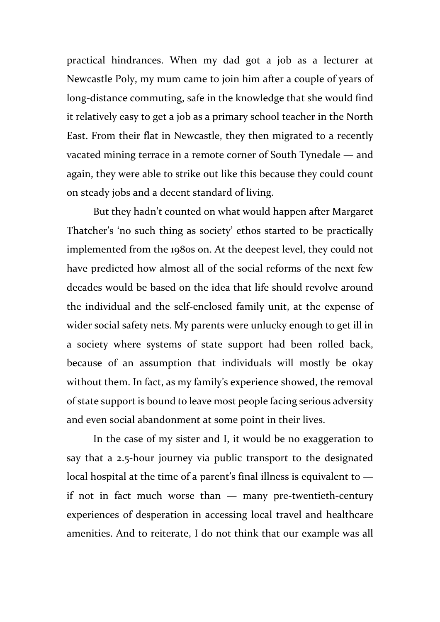practical hindrances. When my dad got a job as a lecturer at Newcastle Poly, my mum came to join him after a couple of years of long-distance commuting, safe in the knowledge that she would find it relatively easy to get a job as a primary school teacher in the North East. From their flat in Newcastle, they then migrated to a recently vacated mining terrace in a remote corner of South Tynedale — and again, they were able to strike out like this because they could count on steady jobs and a decent standard of living.

But they hadn't counted on what would happen after Margaret Thatcher's 'no such thing as society' ethos started to be practically implemented from the 1980s on. At the deepest level, they could not have predicted how almost all of the social reforms of the next few decades would be based on the idea that life should revolve around the individual and the self-enclosed family unit, at the expense of wider social safety nets. My parents were unlucky enough to get ill in a society where systems of state support had been rolled back, because of an assumption that individuals will mostly be okay without them. In fact, as my family's experience showed, the removal of state support is bound to leave most people facing serious adversity and even social abandonment at some point in their lives.

In the case of my sister and I, it would be no exaggeration to say that a 2.5-hour journey via public transport to the designated local hospital at the time of a parent's final illness is equivalent to  $$ if not in fact much worse than — many pre-twentieth-century experiences of desperation in accessing local travel and healthcare amenities. And to reiterate, I do not think that our example was all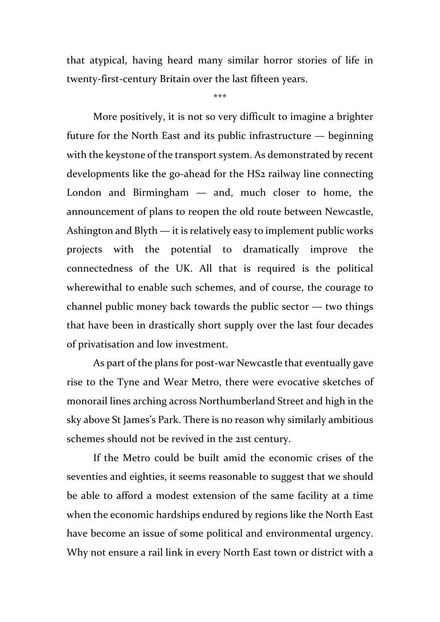that atypical, having heard many similar horror stories of life in twenty-first-century Britain over the last fifteen years.

\*\*\*

More positively, it is not so very difficult to imagine a brighter future for the North East and its public infrastructure — beginning with the keystone of the transport system. As demonstrated by recent developments like the go-ahead for the HS2 railway line connecting London and Birmingham — and, much closer to home, the announcement of plans to reopen the old route between Newcastle, Ashington and Blyth — it is relatively easy to implement public works projects with the potential to dramatically improve the connectedness of the UK. All that is required is the political wherewithal to enable such schemes, and of course, the courage to channel public money back towards the public sector — two things that have been in drastically short supply over the last four decades of privatisation and low investment.

As part of the plans for post-war Newcastle that eventually gave rise to the Tyne and Wear Metro, there were evocative sketches of monorail lines arching across Northumberland Street and high in the sky above St James's Park. There is no reason why similarly ambitious schemes should not be revived in the 21st century.

If the Metro could be built amid the economic crises of the seventies and eighties, it seems reasonable to suggest that we should be able to afford a modest extension of the same facility at a time when the economic hardships endured by regions like the North East have become an issue of some political and environmental urgency. Why not ensure a rail link in every North East town or district with a